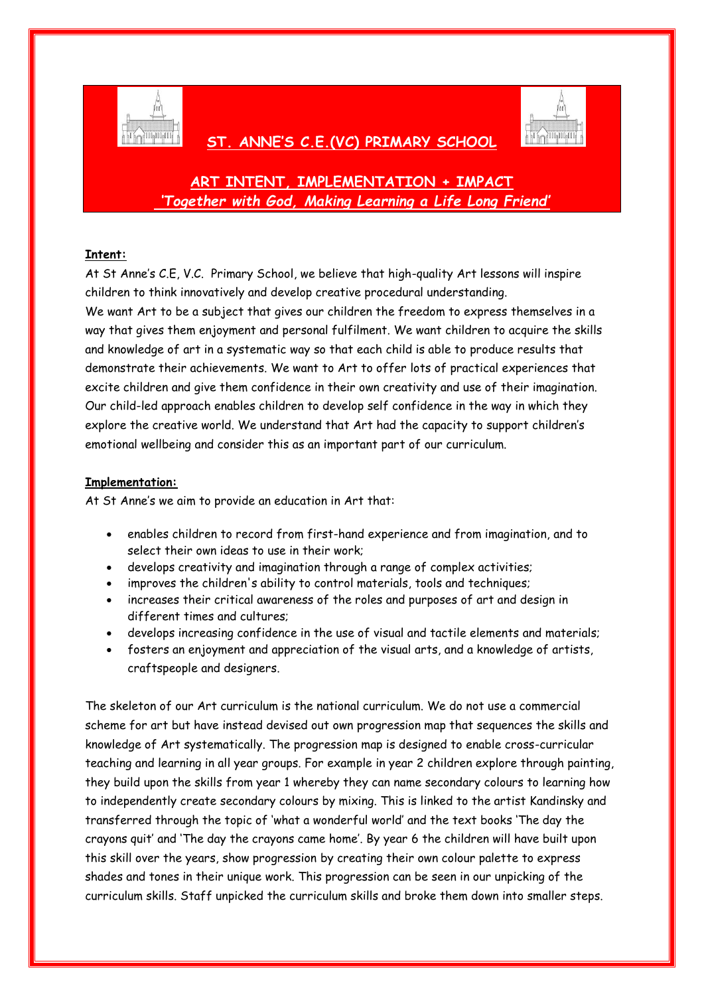

## **ST. ANNE'S C.E.(VC) PRIMARY SCHOOL**



# **ART INTENT, IMPLEMENTATION + IMPACT** *'Together with God, Making Learning a Life Long Friend'*

### **Intent:**

At St Anne's C.E, V.C. Primary School, we believe that high-quality Art lessons will inspire children to think innovatively and develop creative procedural understanding.

We want Art to be a subject that gives our children the freedom to express themselves in a way that gives them enjoyment and personal fulfilment. We want children to acquire the skills and knowledge of art in a systematic way so that each child is able to produce results that demonstrate their achievements. We want to Art to offer lots of practical experiences that excite children and give them confidence in their own creativity and use of their imagination. Our child-led approach enables children to develop self confidence in the way in which they explore the creative world. We understand that Art had the capacity to support children's emotional wellbeing and consider this as an important part of our curriculum.

### **Implementation:**

At St Anne's we aim to provide an education in Art that:

- enables children to record from first-hand experience and from imagination, and to select their own ideas to use in their work;
- develops creativity and imagination through a range of complex activities;
- improves the children's ability to control materials, tools and techniques;
- increases their critical awareness of the roles and purposes of art and design in different times and cultures;
- develops increasing confidence in the use of visual and tactile elements and materials;
- fosters an enjoyment and appreciation of the visual arts, and a knowledge of artists, craftspeople and designers.

The skeleton of our Art curriculum is the national curriculum. We do not use a commercial scheme for art but have instead devised out own progression map that sequences the skills and knowledge of Art systematically. The progression map is designed to enable cross-curricular teaching and learning in all year groups. For example in year 2 children explore through painting, they build upon the skills from year 1 whereby they can name secondary colours to learning how to independently create secondary colours by mixing. This is linked to the artist Kandinsky and transferred through the topic of 'what a wonderful world' and the text books 'The day the crayons quit' and 'The day the crayons came home'. By year 6 the children will have built upon this skill over the years, show progression by creating their own colour palette to express shades and tones in their unique work. This progression can be seen in our unpicking of the curriculum skills. Staff unpicked the curriculum skills and broke them down into smaller steps.